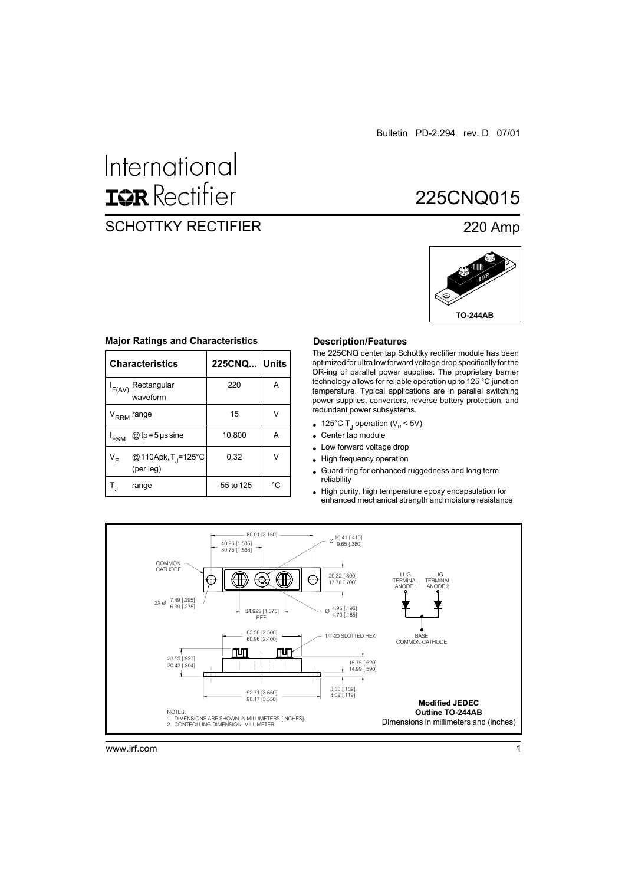# International **ISR** Rectifier

## SCHOTTKY RECTIFIER 220 Amp

## 225CNQ015



#### **Major Ratings and Characteristics Description/Features**

|                                        | <b>Characteristics</b>                      | 225CNQ Units |    |
|----------------------------------------|---------------------------------------------|--------------|----|
| Rectangular<br>$I_{F(AV)}$<br>waveform |                                             | 220          | A  |
| V <sub>RRM</sub> range                 |                                             | 15           | V  |
| <sup>'</sup> FSM                       | @ tp = 5 $\mu$ s sine                       | 10,800       | А  |
| V <sub>F</sub>                         | @110Apk, T <sub>J</sub> =125°C<br>(per leg) | 0.32         | ٧  |
|                                        | range                                       | -55 to 125   | °C |

The 225CNQ center tap Schottky rectifier module has been optimized for ultra low forward voltage drop specifically for the OR-ing of parallel power supplies. The proprietary barrier technology allows for reliable operation up to 125 °C junction temperature. Typical applications are in parallel switching power supplies, converters, reverse battery protection, and redundant power subsystems.

- $\bullet$ 125°C T<sub>J</sub> operation (V<sub>R</sub> < 5V)
- Center tap module  $\bullet$
- Low forward voltage drop
- High frequency operation
- Guard ring for enhanced ruggedness and long term  $\bullet$ reliability
- High purity, high temperature epoxy encapsulation for  $\bullet$ enhanced mechanical strength and moisture resistance

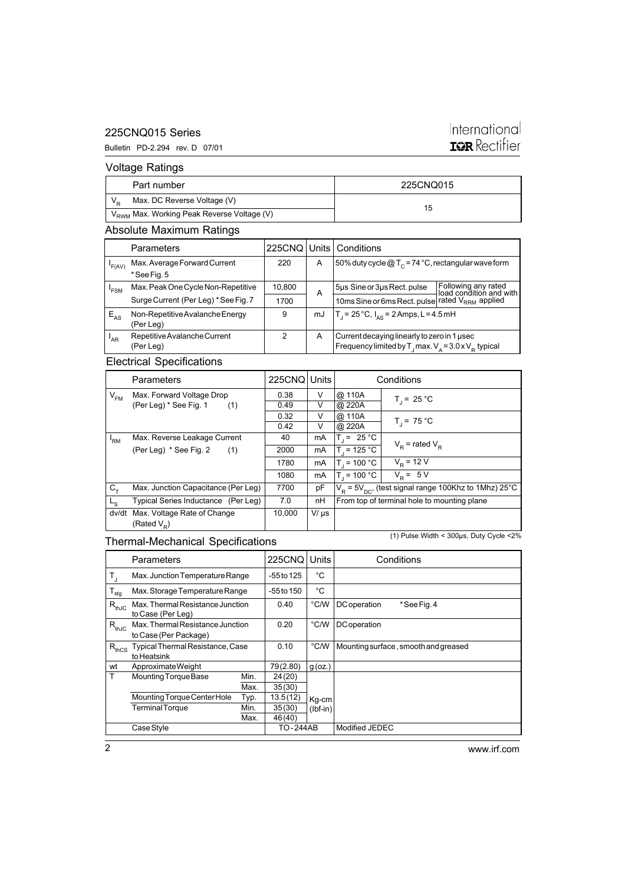## 225CNQ015 Series

### Bulletin PD-2.294 rev. D 07/01

## International **IQR** Rectifier

## Voltage Ratings

|                                                        | Part number | 225CNO015 |  |
|--------------------------------------------------------|-------------|-----------|--|
| Max. DC Reverse Voltage (V)                            |             |           |  |
| V <sub>RWM</sub> Max. Working Peak Reverse Voltage (V) |             | 15        |  |

## Absolute Maximum Ratings

|                 | Parameters                           |        |    | 225CNO Units Conditions                                                 |                                                |
|-----------------|--------------------------------------|--------|----|-------------------------------------------------------------------------|------------------------------------------------|
| 'F(AV)          | Max. Average Forward Current         | 220    | A  | 50% duty cycle $@T_c = 74 °C$ , rectangular wave form                   |                                                |
|                 | *See Fig. 5                          |        |    |                                                                         |                                                |
| 'FSM            | Max. Peak One Cycle Non-Repetitive   | 10,800 | A  | 5µs Sine or 3µs Rect. pulse                                             | Following any rated<br>load condition and with |
|                 | Surge Current (Per Leg) * See Fig. 7 | 1700   |    | 10ms Sine or 6ms Rect. pulse rated V <sub>RRM</sub> applied             |                                                |
| $E_{AS}$        | Non-Repetitive Avalanche Energy      | 9      | mJ | $T_1 = 25^{\circ}C$ , $I_{AS} = 2$ Amps, L = 4.5 mH                     |                                                |
|                 | (Per Leg)                            |        |    |                                                                         |                                                |
| <sup>'</sup> AR | Repetitive Avalanche Current         | 2      | A  | Current decaying linearly to zero in 1 used                             |                                                |
|                 | (Per Leg)                            |        |    | Frequency limited by T <sub>1</sub> max. $V_A = 3.0 \times V_B$ typical |                                                |

## Electrical Specifications

|                | Parameters                          | 225CNQ Units |           |                  | Conditions                                                             |
|----------------|-------------------------------------|--------------|-----------|------------------|------------------------------------------------------------------------|
| $V_{FM}$       | Max. Forward Voltage Drop           | 0.38         | V         | @ 110A           | $T_1 = 25 °C$                                                          |
|                | (Per Leg) * See Fig. 1<br>(1)       | 0.49         | V         | @ 220A           |                                                                        |
|                |                                     | 0.32         | V         | @ 110A           |                                                                        |
|                |                                     | 0.42         | V         | @ 220A           | $T_1 = 75 °C$                                                          |
| 'RM            | Max. Reverse Leakage Current        | 40           | mA        | $T = 25 °C$      |                                                                        |
|                | (Per Leg) * See Fig. 2<br>(1)       | 2000         | mA        | $T_{1}$ = 125 °C | $V_p$ = rated $V_p$                                                    |
|                |                                     | 1780         | mA        | $T = 100 °C$     | $V_{\rm p}$ = 12 $\overline{V}$                                        |
|                |                                     | 1080         | mA        | $T_{1}$ = 100 °C | $V_{\rm p} = 5 V$                                                      |
| $C_{+}$        | Max. Junction Capacitance (Per Leg) | 7700         | рF        |                  | $V_{\rm p}$ = 5 $V_{\rm nc}$ , (test signal range 100Khz to 1Mhz) 25°C |
| L <sub>S</sub> | Typical Series Inductance (Per Leg) | 7.0          | nH        |                  | From top of terminal hole to mounting plane                            |
| dv/dt          | Max. Voltage Rate of Change         | 10.000       | $V/\mu s$ |                  |                                                                        |
|                | (Rated $V_p$ )                      |              |           |                  |                                                                        |

## Thermal-Mechanical Specifications

(1) Pulse Width < 300µs, Duty Cycle <2%

|                  | Parameters                                                |      | <b>225CNQ</b>  | Units         | Conditions                           |
|------------------|-----------------------------------------------------------|------|----------------|---------------|--------------------------------------|
| T,               | Max. Junction Temperature Range                           |      | -55 to 125     | °C            |                                      |
| $T_{\text{stg}}$ | Max. Storage Temperature Range                            |      | $-55$ to $150$ | °C            |                                      |
| $R_{thJC}$       | Max. Thermal Resistance Junction<br>to Case (Per Leg)     |      | 0.40           | $\degree$ C/W | <b>DC</b> operation<br>*See Fig. 4   |
| $R_{thJC}$       | Max. Thermal Resistance Junction<br>to Case (Per Package) |      | 0.20           | °C/W          | <b>DC</b> operation                  |
| $R_{thCS}$       | Typical Thermal Resistance, Case<br>to Heatsink           |      | 0.10           | °C/W          | Mounting surface, smooth and greased |
| wt               | Approximate Weight                                        |      | 79(2.80)       | $g$ (oz.)     |                                      |
| Т                | Mounting Torque Base                                      | Min. | 24(20)         |               |                                      |
|                  |                                                           | Max. | 35(30)         |               |                                      |
|                  | Mounting Torque Center Hole                               | Typ. | 13.5(12)       | Kg-cm         |                                      |
|                  | <b>Terminal Torque</b>                                    | Min. | 35(30)         | $(lbf-in)$    |                                      |
|                  |                                                           | Max. | 46 (40)        |               |                                      |
|                  | Case Style                                                |      | TO-244AB       |               | Modified JEDEC                       |

www.irf.com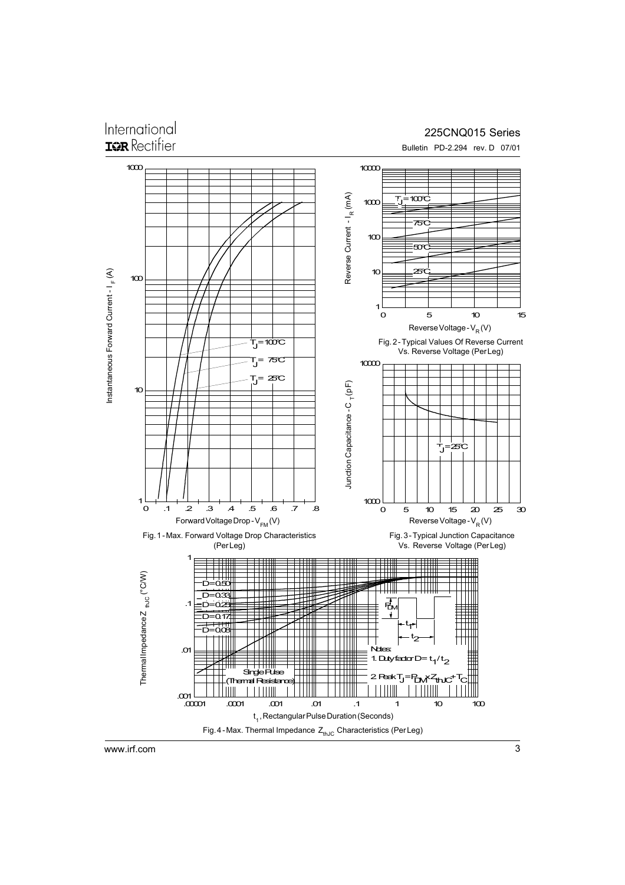# International

## 225CNQ015 Series



www.irf.com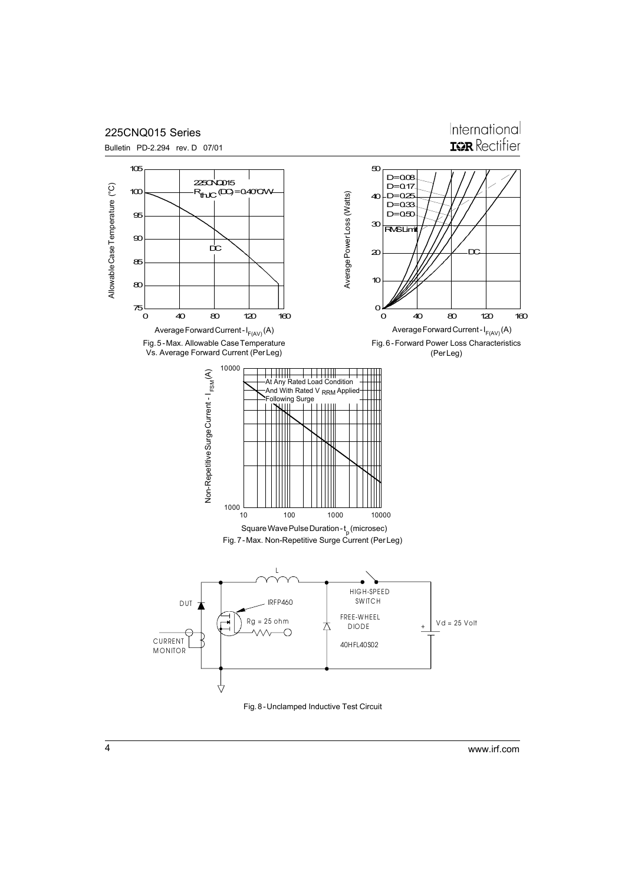